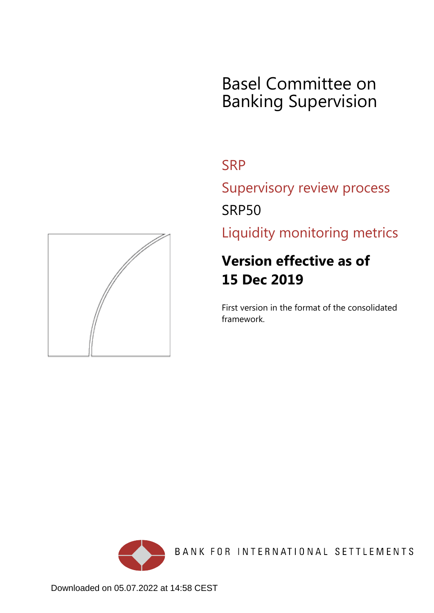# Basel Committee on Banking Supervision

## **SRP**

Supervisory review process SRP50

Liquidity monitoring metrics

## **Version effective as of 15 Dec 2019**

First version in the format of the consolidated framework.



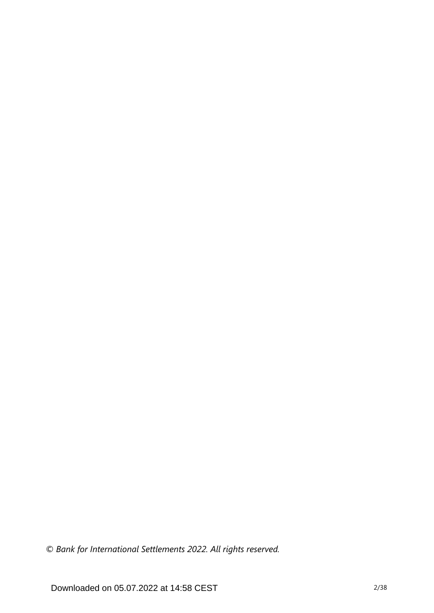*© Bank for International Settlements 2022. All rights reserved.*

Downloaded on 05.07.2022 at 14:58 CEST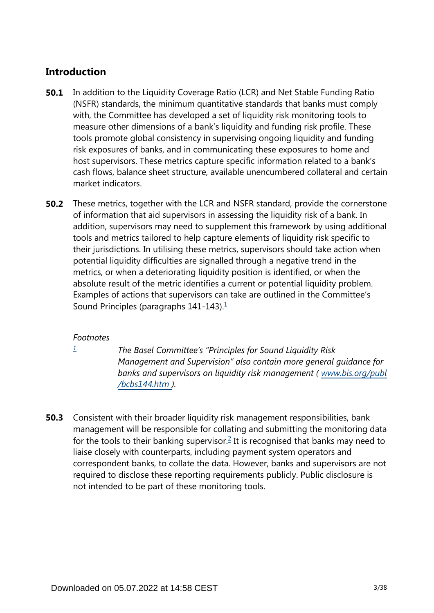## **Introduction**

- In addition to the Liquidity Coverage Ratio (LCR) and Net Stable Funding Ratio (NSFR) standards, the minimum quantitative standards that banks must comply with, the Committee has developed a set of liquidity risk monitoring tools to measure other dimensions of a bank's liquidity and funding risk profile. These tools promote global consistency in supervising ongoing liquidity and funding risk exposures of banks, and in communicating these exposures to home and host supervisors. These metrics capture specific information related to a bank's cash flows, balance sheet structure, available unencumbered collateral and certain market indicators. **50.1**
- These metrics, together with the LCR and NSFR standard, provide the cornerstone of information that aid supervisors in assessing the liquidity risk of a bank. In addition, supervisors may need to supplement this framework by using additional tools and metrics tailored to help capture elements of liquidity risk specific to their jurisdictions. In utilising these metrics, supervisors should take action when potential liquidity difficulties are signalled through a negative trend in the metrics, or when a deteriorating liquidity position is identified, or when the absolute result of the metric identifies a current or potential liquidity problem. Examples of actions that supervisors can take are outlined in the Committee's Sound Principles (paragraphs  $141-143$  $141-143$ ).<sup>1</sup> **50.2**

## <span id="page-2-1"></span>*Footnotes*

<span id="page-2-0"></span>*[1](#page-2-1)*

*The Basel Committee's "Principles for Sound Liquidity Risk Management and Supervision" also contain more general guidance for banks and supervisors on liquidity risk management ( [www.bis.org/publ](https://www.bis.org/publ/bcbs144.htm) [/bcbs144.htm](https://www.bis.org/publ/bcbs144.htm) ).*

<span id="page-2-2"></span>Consistent with their broader liquidity risk management responsibilities, bank management will be responsible for collating and submitting the monitoring data for the tools to their banking supervisor.<sup>[2](#page-3-0)</sup> It is recognised that banks may need to liaise closely with counterparts, including payment system operators and correspondent banks, to collate the data. However, banks and supervisors are not required to disclose these reporting requirements publicly. Public disclosure is not intended to be part of these monitoring tools. **50.3**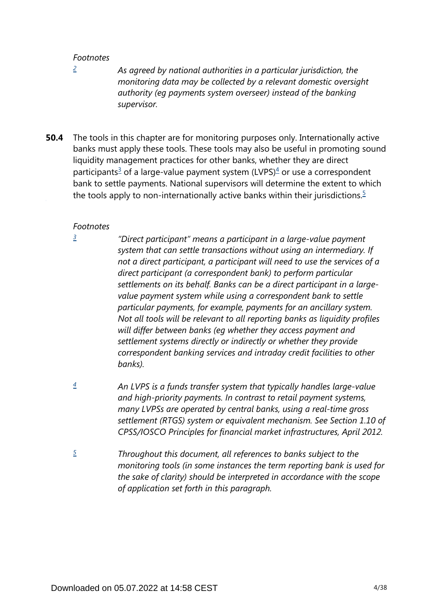<span id="page-3-0"></span>*[2](#page-2-2)*

*As agreed by national authorities in a particular jurisdiction, the monitoring data may be collected by a relevant domestic oversight authority (eg payments system overseer) instead of the banking supervisor.*

<span id="page-3-5"></span><span id="page-3-4"></span>The tools in this chapter are for monitoring purposes only. Internationally active banks must apply these tools. These tools may also be useful in promoting sound liquidity management practices for other banks, whether they are direct participants<sup>[3](#page-3-1)</sup> of a large-value payment system (LVPS)<sup>[4](#page-3-2)</sup> or use a correspondent bank to settle payments. National supervisors will determine the extent to which the tools apply to non-internationally active banks within their jurisdictions.<sup>[5](#page-3-3)</sup> **50.4**

#### *Footnotes*

<span id="page-3-1"></span>*[3](#page-3-4)*

*"Direct participant" means a participant in a large-value payment system that can settle transactions without using an intermediary. If not a direct participant, a participant will need to use the services of a direct participant (a correspondent bank) to perform particular settlements on its behalf. Banks can be a direct participant in a largevalue payment system while using a correspondent bank to settle particular payments, for example, payments for an ancillary system. Not all tools will be relevant to all reporting banks as liquidity profiles will differ between banks (eg whether they access payment and settlement systems directly or indirectly or whether they provide correspondent banking services and intraday credit facilities to other banks).* 

- <span id="page-3-2"></span>*An LVPS is a funds transfer system that typically handles large-value and high-priority payments. In contrast to retail payment systems, many LVPSs are operated by central banks, using a real-time gross settlement (RTGS) system or equivalent mechanism. See Section 1.10 of CPSS/IOSCO Principles for financial market infrastructures, April 2012. [4](#page-3-4)*
- <span id="page-3-3"></span>*Throughout this document, all references to banks subject to the monitoring tools (in some instances the term reporting bank is used for the sake of clarity) should be interpreted in accordance with the scope of application set forth in this paragraph. [5](#page-3-5)*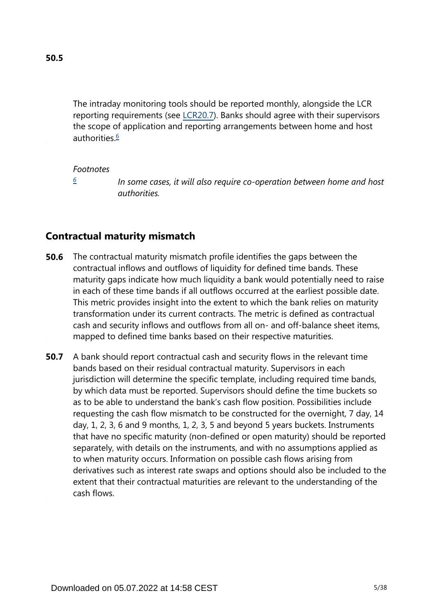<span id="page-4-1"></span>The intraday monitoring tools should be reported monthly, alongside the LCR reporting requirements (see [LCR20.7](https://www.bis.org/basel_framework/chapter/LCR/20.htm?tldate=20281012&inforce=20191215&published=20191215#paragraph_LCR_20_20191215_20_7)). Banks should agree with their supervisors the scope of application and reporting arrangements between home and host authorities.<sup>[6](#page-4-0)</sup>

#### *Footnotes*

*[6](#page-4-1)*

*In some cases, it will also require co-operation between home and host authorities.*

## <span id="page-4-0"></span>**Contractual maturity mismatch**

- The contractual maturity mismatch profile identifies the gaps between the contractual inflows and outflows of liquidity for defined time bands. These maturity gaps indicate how much liquidity a bank would potentially need to raise in each of these time bands if all outflows occurred at the earliest possible date. This metric provides insight into the extent to which the bank relies on maturity transformation under its current contracts. The metric is defined as contractual cash and security inflows and outflows from all on- and off-balance sheet items, mapped to defined time banks based on their respective maturities. **50.6**
- A bank should report contractual cash and security flows in the relevant time bands based on their residual contractual maturity. Supervisors in each jurisdiction will determine the specific template, including required time bands, by which data must be reported. Supervisors should define the time buckets so as to be able to understand the bank's cash flow position. Possibilities include requesting the cash flow mismatch to be constructed for the overnight, 7 day, 14 day, 1, 2, 3, 6 and 9 months, 1, 2, 3, 5 and beyond 5 years buckets. Instruments that have no specific maturity (non-defined or open maturity) should be reported separately, with details on the instruments, and with no assumptions applied as to when maturity occurs. Information on possible cash flows arising from derivatives such as interest rate swaps and options should also be included to the extent that their contractual maturities are relevant to the understanding of the cash flows. **50.7**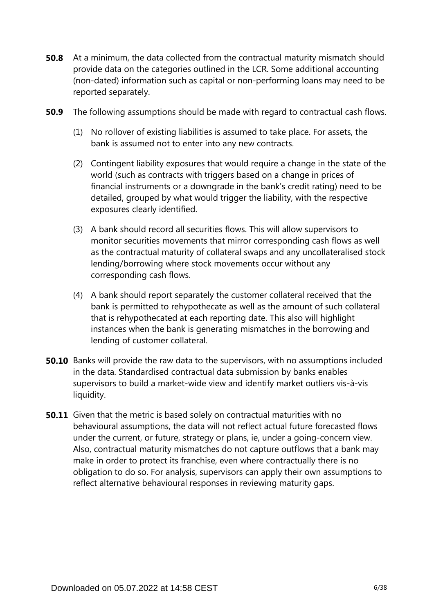- **50.8** At a minimum, the data collected from the contractual maturity mismatch should provide data on the categories outlined in the LCR. Some additional accounting (non-dated) information such as capital or non-performing loans may need to be reported separately.
- **50.9** The following assumptions should be made with regard to contractual cash flows.
	- (1) No rollover of existing liabilities is assumed to take place. For assets, the bank is assumed not to enter into any new contracts.
	- (2) Contingent liability exposures that would require a change in the state of the world (such as contracts with triggers based on a change in prices of financial instruments or a downgrade in the bank's credit rating) need to be detailed, grouped by what would trigger the liability, with the respective exposures clearly identified.
	- (3) A bank should record all securities flows. This will allow supervisors to monitor securities movements that mirror corresponding cash flows as well as the contractual maturity of collateral swaps and any uncollateralised stock lending/borrowing where stock movements occur without any corresponding cash flows.
	- (4) A bank should report separately the customer collateral received that the bank is permitted to rehypothecate as well as the amount of such collateral that is rehypothecated at each reporting date. This also will highlight instances when the bank is generating mismatches in the borrowing and lending of customer collateral.
- **50.10** Banks will provide the raw data to the supervisors, with no assumptions included in the data. Standardised contractual data submission by banks enables supervisors to build a market-wide view and identify market outliers vis-à-vis liquidity.
- **50.11** Given that the metric is based solely on contractual maturities with no behavioural assumptions, the data will not reflect actual future forecasted flows under the current, or future, strategy or plans, ie, under a going-concern view. Also, contractual maturity mismatches do not capture outflows that a bank may make in order to protect its franchise, even where contractually there is no obligation to do so. For analysis, supervisors can apply their own assumptions to reflect alternative behavioural responses in reviewing maturity gaps.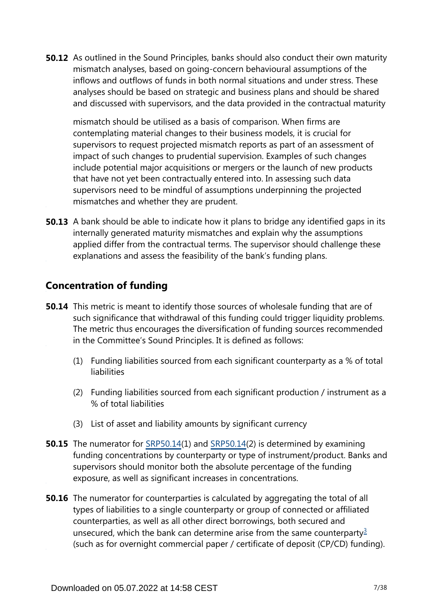**50.12** As outlined in the Sound Principles, banks should also conduct their own maturity mismatch analyses, based on going-concern behavioural assumptions of the inflows and outflows of funds in both normal situations and under stress. These analyses should be based on strategic and business plans and should be shared and discussed with supervisors, and the data provided in the contractual maturity

mismatch should be utilised as a basis of comparison. When firms are contemplating material changes to their business models, it is crucial for supervisors to request projected mismatch reports as part of an assessment of impact of such changes to prudential supervision. Examples of such changes include potential major acquisitions or mergers or the launch of new products that have not yet been contractually entered into. In assessing such data supervisors need to be mindful of assumptions underpinning the projected mismatches and whether they are prudent.

**50.13** A bank should be able to indicate how it plans to bridge any identified gaps in its internally generated maturity mismatches and explain why the assumptions applied differ from the contractual terms. The supervisor should challenge these explanations and assess the feasibility of the bank's funding plans.

## **Concentration of funding**

- **50.14** This metric is meant to identify those sources of wholesale funding that are of such significance that withdrawal of this funding could trigger liquidity problems. The metric thus encourages the diversification of funding sources recommended in the Committee's Sound Principles. It is defined as follows:
	- (1) Funding liabilities sourced from each significant counterparty as a % of total liabilities
	- (2) Funding liabilities sourced from each significant production / instrument as a % of total liabilities
	- (3) List of asset and liability amounts by significant currency
- **50.15** The numerator for [SRP50.14\(](https://www.bis.org/basel_framework/chapter/SRP/50.htm?tldate=20281012&inforce=20191215&published=20191215#paragraph_SRP_50_20191215_50_14)1) and SRP50.14(2) is determined by examining funding concentrations by counterparty or type of instrument/product. Banks and supervisors should monitor both the absolute percentage of the funding exposure, as well as significant increases in concentrations.
- <span id="page-6-0"></span>**50.16** The numerator for counterparties is calculated by aggregating the total of all types of liabilities to a single counterparty or group of connected or affiliated counterparties, as well as all other direct borrowings, both secured and unsecured, which the bank can determine arise from the same counterparty<sup>[3](#page-7-0)</sup> (such as for overnight commercial paper / certificate of deposit (CP/CD) funding).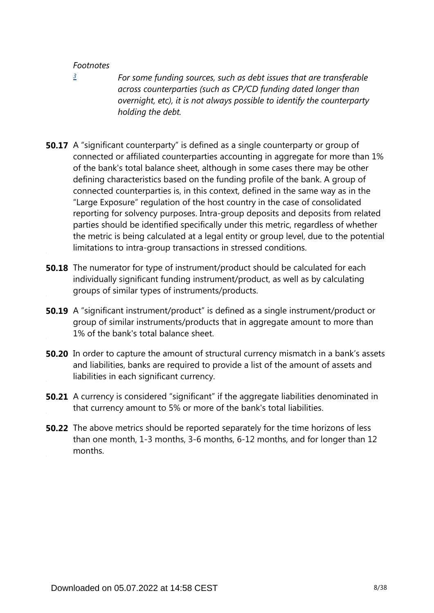<span id="page-7-0"></span>*[3](#page-6-0)*

*For some funding sources, such as debt issues that are transferable across counterparties (such as CP/CD funding dated longer than overnight, etc), it is not always possible to identify the counterparty holding the debt.*

- **50.17** A "significant counterparty" is defined as a single counterparty or group of connected or affiliated counterparties accounting in aggregate for more than 1% of the bank's total balance sheet, although in some cases there may be other defining characteristics based on the funding profile of the bank. A group of connected counterparties is, in this context, defined in the same way as in the "Large Exposure" regulation of the host country in the case of consolidated reporting for solvency purposes. Intra-group deposits and deposits from related parties should be identified specifically under this metric, regardless of whether the metric is being calculated at a legal entity or group level, due to the potential limitations to intra-group transactions in stressed conditions.
- **50.18** The numerator for type of instrument/product should be calculated for each individually significant funding instrument/product, as well as by calculating groups of similar types of instruments/products.
- **50.19** A "significant instrument/product" is defined as a single instrument/product or group of similar instruments/products that in aggregate amount to more than 1% of the bank's total balance sheet.
- **50.20** In order to capture the amount of structural currency mismatch in a bank's assets and liabilities, banks are required to provide a list of the amount of assets and liabilities in each significant currency.
- **50.21** A currency is considered "significant" if the aggregate liabilities denominated in that currency amount to 5% or more of the bank's total liabilities.
- **50.22** The above metrics should be reported separately for the time horizons of less than one month, 1-3 months, 3-6 months, 6-12 months, and for longer than 12 months.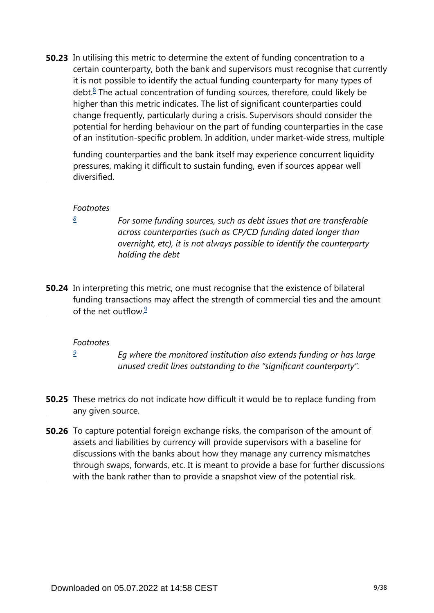<span id="page-8-1"></span>**50.23** In utilising this metric to determine the extent of funding concentration to a certain counterparty, both the bank and supervisors must recognise that currently it is not possible to identify the actual funding counterparty for many types of debt.<sup>[8](#page-8-0)</sup> The actual concentration of funding sources, therefore, could likely be higher than this metric indicates. The list of significant counterparties could change frequently, particularly during a crisis. Supervisors should consider the potential for herding behaviour on the part of funding counterparties in the case of an institution-specific problem. In addition, under market-wide stress, multiple

funding counterparties and the bank itself may experience concurrent liquidity pressures, making it difficult to sustain funding, even if sources appear well diversified.

#### *Footnotes*

<span id="page-8-0"></span>*[8](#page-8-1)*

*For some funding sources, such as debt issues that are transferable across counterparties (such as CP/CD funding dated longer than overnight, etc), it is not always possible to identify the counterparty holding the debt* 

<span id="page-8-3"></span>**50.24** In interpreting this metric, one must recognise that the existence of bilateral funding transactions may affect the strength of commercial ties and the amount of the net outflow  $\frac{9}{5}$  $\frac{9}{5}$  $\frac{9}{5}$ 

#### *Footnotes*

*[9](#page-8-3)*

*Eg where the monitored institution also extends funding or has large unused credit lines outstanding to the "significant counterparty".*

- <span id="page-8-2"></span>**50.25** These metrics do not indicate how difficult it would be to replace funding from any given source.
- **50.26** To capture potential foreign exchange risks, the comparison of the amount of assets and liabilities by currency will provide supervisors with a baseline for discussions with the banks about how they manage any currency mismatches through swaps, forwards, etc. It is meant to provide a base for further discussions with the bank rather than to provide a snapshot view of the potential risk.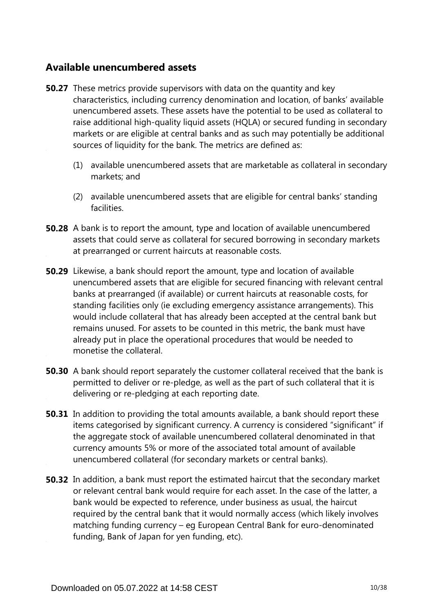## **Available unencumbered assets**

- **50.27** These metrics provide supervisors with data on the quantity and key characteristics, including currency denomination and location, of banks' available unencumbered assets. These assets have the potential to be used as collateral to raise additional high-quality liquid assets (HQLA) or secured funding in secondary markets or are eligible at central banks and as such may potentially be additional sources of liquidity for the bank. The metrics are defined as:
	- (1) available unencumbered assets that are marketable as collateral in secondary markets; and
	- (2) available unencumbered assets that are eligible for central banks' standing facilities.
- **50.28** A bank is to report the amount, type and location of available unencumbered assets that could serve as collateral for secured borrowing in secondary markets at prearranged or current haircuts at reasonable costs.
- **50.29** Likewise, a bank should report the amount, type and location of available unencumbered assets that are eligible for secured financing with relevant central banks at prearranged (if available) or current haircuts at reasonable costs, for standing facilities only (ie excluding emergency assistance arrangements). This would include collateral that has already been accepted at the central bank but remains unused. For assets to be counted in this metric, the bank must have already put in place the operational procedures that would be needed to monetise the collateral.
- **50.30** A bank should report separately the customer collateral received that the bank is permitted to deliver or re-pledge, as well as the part of such collateral that it is delivering or re-pledging at each reporting date.
- **50.31** In addition to providing the total amounts available, a bank should report these items categorised by significant currency. A currency is considered "significant" if the aggregate stock of available unencumbered collateral denominated in that currency amounts 5% or more of the associated total amount of available unencumbered collateral (for secondary markets or central banks).
- **50.32** In addition, a bank must report the estimated haircut that the secondary market or relevant central bank would require for each asset. In the case of the latter, a bank would be expected to reference, under business as usual, the haircut required by the central bank that it would normally access (which likely involves matching funding currency – eg European Central Bank for euro-denominated funding, Bank of Japan for yen funding, etc).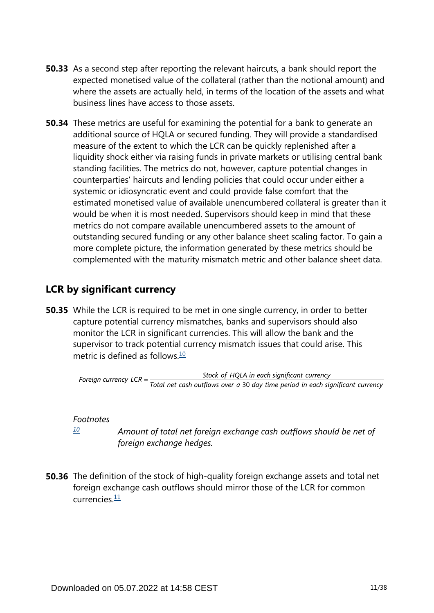- **50.33** As a second step after reporting the relevant haircuts, a bank should report the expected monetised value of the collateral (rather than the notional amount) and where the assets are actually held, in terms of the location of the assets and what business lines have access to those assets.
- **50.34** These metrics are useful for examining the potential for a bank to generate an additional source of HQLA or secured funding. They will provide a standardised measure of the extent to which the LCR can be quickly replenished after a liquidity shock either via raising funds in private markets or utilising central bank standing facilities. The metrics do not, however, capture potential changes in counterparties' haircuts and lending policies that could occur under either a systemic or idiosyncratic event and could provide false comfort that the estimated monetised value of available unencumbered collateral is greater than it would be when it is most needed. Supervisors should keep in mind that these metrics do not compare available unencumbered assets to the amount of outstanding secured funding or any other balance sheet scaling factor. To gain a more complete picture, the information generated by these metrics should be complemented with the maturity mismatch metric and other balance sheet data.

## **LCR by significant currency**

<span id="page-10-1"></span>**50.35** While the LCR is required to be met in one single currency, in order to better capture potential currency mismatches, banks and supervisors should also monitor the LCR in significant currencies. This will allow the bank and the supervisor to track potential currency mismatch issues that could arise. This metric is defined as follows  $\frac{10}{10}$  $\frac{10}{10}$  $\frac{10}{10}$ 

Stock of HQLA in each significant currency Foreign currency  $LCR = \frac{Stock\ of\ HQLA\ in\ each\ significant\ currency} {Total\ net\ cash\ outflows\ over\ a\ 30\ day\ time\ period\ in\ each\ significant\ currency}$ 

## *Footnotes*

*[10](#page-10-1)*

*Amount of total net foreign exchange cash outflows should be net of foreign exchange hedges.*

<span id="page-10-2"></span><span id="page-10-0"></span>**50.36** The definition of the stock of high-quality foreign exchange assets and total net foreign exchange cash outflows should mirror those of the LCR for common currencies $\frac{11}{1}$  $\frac{11}{1}$  $\frac{11}{1}$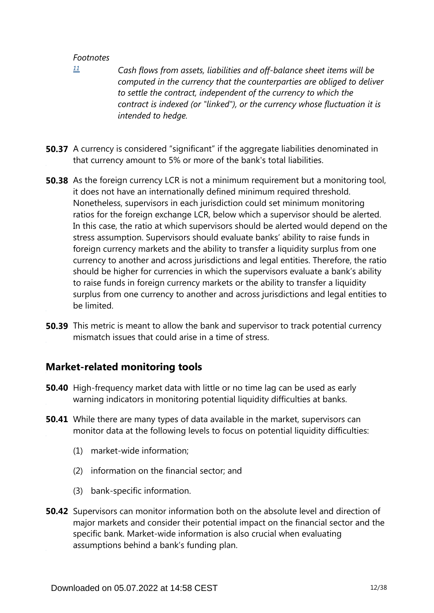<span id="page-11-0"></span>*[11](#page-10-2)*

- *Cash flows from assets, liabilities and off-balance sheet items will be computed in the currency that the counterparties are obliged to deliver to settle the contract, independent of the currency to which the contract is indexed (or "linked"), or the currency whose fluctuation it is intended to hedge.*
- **50.37** A currency is considered "significant" if the aggregate liabilities denominated in that currency amount to 5% or more of the bank's total liabilities.
- **50.38** As the foreign currency LCR is not a minimum requirement but a monitoring tool, it does not have an internationally defined minimum required threshold. Nonetheless, supervisors in each jurisdiction could set minimum monitoring ratios for the foreign exchange LCR, below which a supervisor should be alerted. In this case, the ratio at which supervisors should be alerted would depend on the stress assumption. Supervisors should evaluate banks' ability to raise funds in foreign currency markets and the ability to transfer a liquidity surplus from one currency to another and across jurisdictions and legal entities. Therefore, the ratio should be higher for currencies in which the supervisors evaluate a bank's ability to raise funds in foreign currency markets or the ability to transfer a liquidity surplus from one currency to another and across jurisdictions and legal entities to be limited.
- **50.39** This metric is meant to allow the bank and supervisor to track potential currency mismatch issues that could arise in a time of stress.

## **Market-related monitoring tools**

- **50.40** High-frequency market data with little or no time lag can be used as early warning indicators in monitoring potential liquidity difficulties at banks.
- While there are many types of data available in the market, supervisors can **50.41** monitor data at the following levels to focus on potential liquidity difficulties:
	- (1) market-wide information;
	- (2) information on the financial sector; and
	- (3) bank-specific information.
- **50.42** Supervisors can monitor information both on the absolute level and direction of major markets and consider their potential impact on the financial sector and the specific bank. Market-wide information is also crucial when evaluating assumptions behind a bank's funding plan.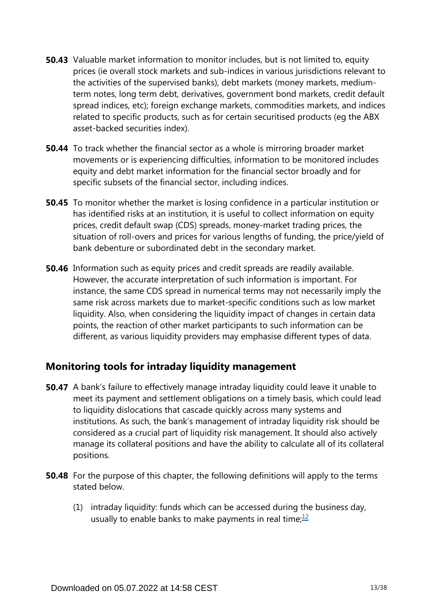- **50.43** Valuable market information to monitor includes, but is not limited to, equity prices (ie overall stock markets and sub-indices in various jurisdictions relevant to the activities of the supervised banks), debt markets (money markets, mediumterm notes, long term debt, derivatives, government bond markets, credit default spread indices, etc); foreign exchange markets, commodities markets, and indices related to specific products, such as for certain securitised products (eg the ABX asset-backed securities index).
- **50.44** To track whether the financial sector as a whole is mirroring broader market movements or is experiencing difficulties, information to be monitored includes equity and debt market information for the financial sector broadly and for specific subsets of the financial sector, including indices.
- **50.45** To monitor whether the market is losing confidence in a particular institution or has identified risks at an institution, it is useful to collect information on equity prices, credit default swap (CDS) spreads, money-market trading prices, the situation of roll-overs and prices for various lengths of funding, the price/yield of bank debenture or subordinated debt in the secondary market.
- **50.46** Information such as equity prices and credit spreads are readily available. However, the accurate interpretation of such information is important. For instance, the same CDS spread in numerical terms may not necessarily imply the same risk across markets due to market-specific conditions such as low market liquidity. Also, when considering the liquidity impact of changes in certain data points, the reaction of other market participants to such information can be different, as various liquidity providers may emphasise different types of data.

## **Monitoring tools for intraday liquidity management**

- **50.47** A bank's failure to effectively manage intraday liquidity could leave it unable to meet its payment and settlement obligations on a timely basis, which could lead to liquidity dislocations that cascade quickly across many systems and institutions. As such, the bank's management of intraday liquidity risk should be considered as a crucial part of liquidity risk management. It should also actively manage its collateral positions and have the ability to calculate all of its collateral positions.
- <span id="page-12-0"></span>**50.48** For the purpose of this chapter, the following definitions will apply to the terms stated below.
	- (1) intraday liquidity: funds which can be accessed during the business day, usually to enable banks to make payments in real time; $\frac{12}{1}$  $\frac{12}{1}$  $\frac{12}{1}$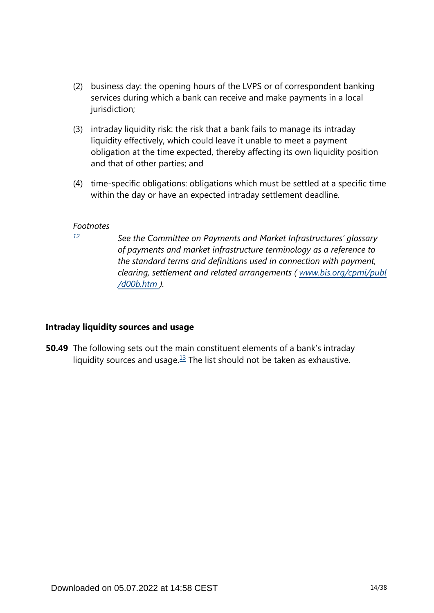- (2) business day: the opening hours of the LVPS or of correspondent banking services during which a bank can receive and make payments in a local jurisdiction;
- (3) intraday liquidity risk: the risk that a bank fails to manage its intraday liquidity effectively, which could leave it unable to meet a payment obligation at the time expected, thereby affecting its own liquidity position and that of other parties; and
- (4) time-specific obligations: obligations which must be settled at a specific time within the day or have an expected intraday settlement deadline.

<span id="page-13-0"></span>*[12](#page-12-0)*

*See the Committee on Payments and Market Infrastructures' glossary of payments and market infrastructure terminology as a reference to the standard terms and definitions used in connection with payment, clearing, settlement and related arrangements ( [www.bis.org/cpmi/publ](https://www.bis.org/cpmi/publ/d00b.htm) [/d00b.htm](https://www.bis.org/cpmi/publ/d00b.htm) ).*

## **Intraday liquidity sources and usage**

<span id="page-13-1"></span>**50.49** The following sets out the main constituent elements of a bank's intraday liquidity sources and usage. $13$  The list should not be taken as exhaustive.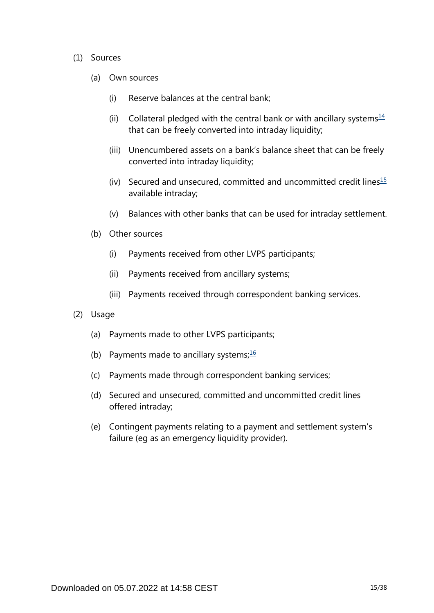#### <span id="page-14-0"></span>(1) Sources

- (a) Own sources
	- (i) Reserve balances at the central bank;
	- (ii) Collateral pledged with the central bank or with ancillary systems $\frac{14}{1}$  $\frac{14}{1}$  $\frac{14}{1}$ that can be freely converted into intraday liquidity;
	- (iii) Unencumbered assets on a bank's balance sheet that can be freely converted into intraday liquidity;
	- (iv) Secured and unsecured, committed and uncommitted credit lines $15$ available intraday;
	- (v) Balances with other banks that can be used for intraday settlement.
- <span id="page-14-1"></span>(b) Other sources
	- (i) Payments received from other LVPS participants;
	- (ii) Payments received from ancillary systems;
	- (iii) Payments received through correspondent banking services.
- <span id="page-14-2"></span>(2) Usage
	- (a) Payments made to other LVPS participants;
	- (b) Payments made to ancillary systems; $\frac{16}{10}$  $\frac{16}{10}$  $\frac{16}{10}$
	- (c) Payments made through correspondent banking services;
	- (d) Secured and unsecured, committed and uncommitted credit lines offered intraday;
	- (e) Contingent payments relating to a payment and settlement system's failure (eg as an emergency liquidity provider).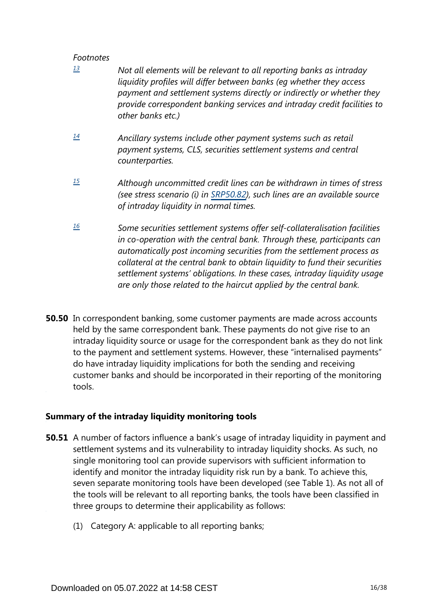- <span id="page-15-0"></span>*Not all elements will be relevant to all reporting banks as intraday liquidity profiles will differ between banks (eg whether they access payment and settlement systems directly or indirectly or whether they provide correspondent banking services and intraday credit facilities to other banks etc.) [13](#page-13-1)*
- <span id="page-15-1"></span>*Ancillary systems include other payment systems such as retail payment systems, CLS, securities settlement systems and central counterparties. [14](#page-14-0)*
- <span id="page-15-2"></span>*Although uncommitted credit lines can be withdrawn in times of stress (see stress scenario (i) in [SRP50.82\)](https://www.bis.org/basel_framework/chapter/SRP/50.htm?tldate=20281012&inforce=20191215&published=20191215#paragraph_SRP_50_20191215_50_82), such lines are an available source of intraday liquidity in normal times. [15](#page-14-1)*
- <span id="page-15-3"></span>*Some securities settlement systems offer self-collateralisation facilities in co-operation with the central bank. Through these, participants can automatically post incoming securities from the settlement process as collateral at the central bank to obtain liquidity to fund their securities settlement systems' obligations. In these cases, intraday liquidity usage are only those related to the haircut applied by the central bank. [16](#page-14-2)*
- **50.50** In correspondent banking, some customer payments are made across accounts held by the same correspondent bank. These payments do not give rise to an intraday liquidity source or usage for the correspondent bank as they do not link to the payment and settlement systems. However, these "internalised payments" do have intraday liquidity implications for both the sending and receiving customer banks and should be incorporated in their reporting of the monitoring tools.

## **Summary of the intraday liquidity monitoring tools**

- **50.51** A number of factors influence a bank's usage of intraday liquidity in payment and settlement systems and its vulnerability to intraday liquidity shocks. As such, no single monitoring tool can provide supervisors with sufficient information to identify and monitor the intraday liquidity risk run by a bank. To achieve this, seven separate monitoring tools have been developed (see Table 1). As not all of the tools will be relevant to all reporting banks, the tools have been classified in three groups to determine their applicability as follows:
	- (1) Category A: applicable to all reporting banks;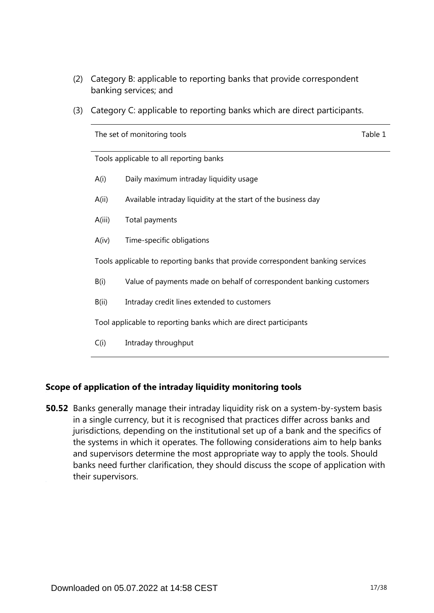- (2) Category B: applicable to reporting banks that provide correspondent banking services; and
- (3) Category C: applicable to reporting banks which are direct participants.

|                                                                  | The set of monitoring tools                                                     | Table 1 |  |  |  |
|------------------------------------------------------------------|---------------------------------------------------------------------------------|---------|--|--|--|
|                                                                  | Tools applicable to all reporting banks                                         |         |  |  |  |
| A(i)                                                             | Daily maximum intraday liquidity usage                                          |         |  |  |  |
| A(i)                                                             | Available intraday liquidity at the start of the business day                   |         |  |  |  |
| A(iii)                                                           | Total payments                                                                  |         |  |  |  |
| A(iv)                                                            | Time-specific obligations                                                       |         |  |  |  |
|                                                                  | Tools applicable to reporting banks that provide correspondent banking services |         |  |  |  |
| B(i)                                                             | Value of payments made on behalf of correspondent banking customers             |         |  |  |  |
| B(ii)                                                            | Intraday credit lines extended to customers                                     |         |  |  |  |
| Tool applicable to reporting banks which are direct participants |                                                                                 |         |  |  |  |
| C(i)                                                             | Intraday throughput                                                             |         |  |  |  |
|                                                                  |                                                                                 |         |  |  |  |

## **Scope of application of the intraday liquidity monitoring tools**

**50.52** Banks generally manage their intraday liquidity risk on a system-by-system basis in a single currency, but it is recognised that practices differ across banks and jurisdictions, depending on the institutional set up of a bank and the specifics of the systems in which it operates. The following considerations aim to help banks and supervisors determine the most appropriate way to apply the tools. Should banks need further clarification, they should discuss the scope of application with their supervisors.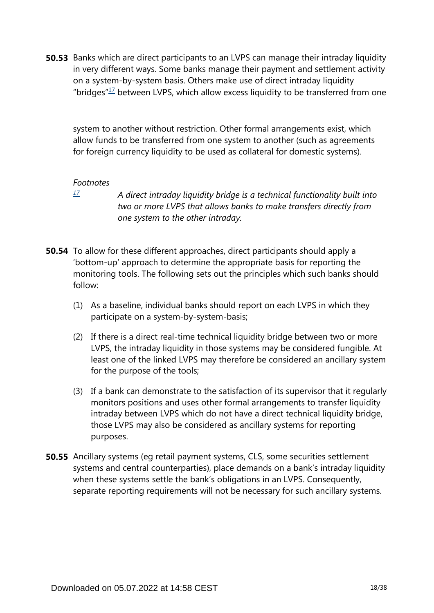<span id="page-17-1"></span>**50.53** Banks which are direct participants to an LVPS can manage their intraday liquidity in very different ways. Some banks manage their payment and settlement activity on a system-by-system basis. Others make use of direct intraday liquidity "bridges" $17$  between LVPS, which allow excess liquidity to be transferred from one

system to another without restriction. Other formal arrangements exist, which allow funds to be transferred from one system to another (such as agreements for foreign currency liquidity to be used as collateral for domestic systems).

#### *Footnotes*

<span id="page-17-0"></span>*[17](#page-17-1)*

*A direct intraday liquidity bridge is a technical functionality built into two or more LVPS that allows banks to make transfers directly from one system to the other intraday.*

- **50.54** To allow for these different approaches, direct participants should apply a 'bottom-up' approach to determine the appropriate basis for reporting the monitoring tools. The following sets out the principles which such banks should follow:
	- (1) As a baseline, individual banks should report on each LVPS in which they participate on a system-by-system-basis;
	- (2) If there is a direct real-time technical liquidity bridge between two or more LVPS, the intraday liquidity in those systems may be considered fungible. At least one of the linked LVPS may therefore be considered an ancillary system for the purpose of the tools;
	- (3) If a bank can demonstrate to the satisfaction of its supervisor that it regularly monitors positions and uses other formal arrangements to transfer liquidity intraday between LVPS which do not have a direct technical liquidity bridge, those LVPS may also be considered as ancillary systems for reporting purposes.
- **50.55** Ancillary systems (eg retail payment systems, CLS, some securities settlement systems and central counterparties), place demands on a bank's intraday liquidity when these systems settle the bank's obligations in an LVPS. Consequently, separate reporting requirements will not be necessary for such ancillary systems.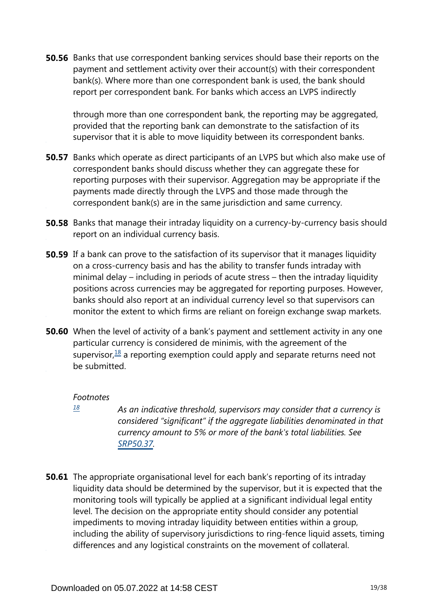**50.56** Banks that use correspondent banking services should base their reports on the payment and settlement activity over their account(s) with their correspondent bank(s). Where more than one correspondent bank is used, the bank should report per correspondent bank. For banks which access an LVPS indirectly

through more than one correspondent bank, the reporting may be aggregated, provided that the reporting bank can demonstrate to the satisfaction of its supervisor that it is able to move liquidity between its correspondent banks.

- **50.57** Banks which operate as direct participants of an LVPS but which also make use of correspondent banks should discuss whether they can aggregate these for reporting purposes with their supervisor. Aggregation may be appropriate if the payments made directly through the LVPS and those made through the correspondent bank(s) are in the same jurisdiction and same currency.
- **50.58** Banks that manage their intraday liquidity on a currency-by-currency basis should report on an individual currency basis.
- **50.59** If a bank can prove to the satisfaction of its supervisor that it manages liquidity on a cross-currency basis and has the ability to transfer funds intraday with minimal delay – including in periods of acute stress – then the intraday liquidity positions across currencies may be aggregated for reporting purposes. However, banks should also report at an individual currency level so that supervisors can monitor the extent to which firms are reliant on foreign exchange swap markets.
- <span id="page-18-1"></span>**50.60** When the level of activity of a bank's payment and settlement activity in any one particular currency is considered de minimis, with the agreement of the supervisor,  $\frac{18}{18}$  $\frac{18}{18}$  $\frac{18}{18}$  a reporting exemption could apply and separate returns need not be submitted.

#### *Footnotes*

- <span id="page-18-0"></span>*As an indicative threshold, supervisors may consider that a currency is considered "significant" if the aggregate liabilities denominated in that currency amount to 5% or more of the bank's total liabilities. See [SRP50.37](https://www.bis.org/basel_framework/chapter/SRP/50.htm?tldate=20281012&inforce=20191215&published=20191215#paragraph_SRP_50_20191215_50_37). [18](#page-18-1)*
- **50.61** The appropriate organisational level for each bank's reporting of its intraday liquidity data should be determined by the supervisor, but it is expected that the monitoring tools will typically be applied at a significant individual legal entity level. The decision on the appropriate entity should consider any potential impediments to moving intraday liquidity between entities within a group, including the ability of supervisory jurisdictions to ring-fence liquid assets, timing differences and any logistical constraints on the movement of collateral.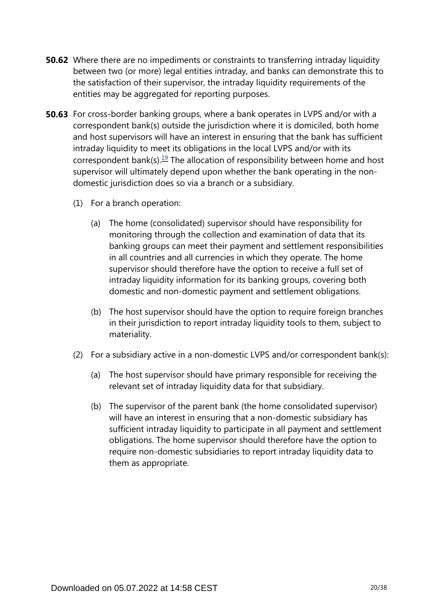- **50.62** Where there are no impediments or constraints to transferring intraday liquidity between two (or more) legal entities intraday, and banks can demonstrate this to the satisfaction of their supervisor, the intraday liquidity requirements of the entities may be aggregated for reporting purposes.
- <span id="page-19-0"></span>**50.63** For cross-border banking groups, where a bank operates in LVPS and/or with a correspondent bank(s) outside the jurisdiction where it is domiciled, both home and host supervisors will have an interest in ensuring that the bank has sufficient intraday liquidity to meet its obligations in the local LVPS and/or with its correspondent bank(s).<sup>[19](#page-20-0)</sup> The allocation of responsibility between home and host supervisor will ultimately depend upon whether the bank operating in the nondomestic jurisdiction does so via a branch or a subsidiary.
	- (1) For a branch operation:
		- (a) The home (consolidated) supervisor should have responsibility for monitoring through the collection and examination of data that its banking groups can meet their payment and settlement responsibilities in all countries and all currencies in which they operate. The home supervisor should therefore have the option to receive a full set of intraday liquidity information for its banking groups, covering both domestic and non-domestic payment and settlement obligations.
		- (b) The host supervisor should have the option to require foreign branches in their jurisdiction to report intraday liquidity tools to them, subject to materiality.
	- (2) For a subsidiary active in a non-domestic LVPS and/or correspondent bank(s):
		- (a) The host supervisor should have primary responsible for receiving the relevant set of intraday liquidity data for that subsidiary.
		- (b) The supervisor of the parent bank (the home consolidated supervisor) will have an interest in ensuring that a non-domestic subsidiary has sufficient intraday liquidity to participate in all payment and settlement obligations. The home supervisor should therefore have the option to require non-domestic subsidiaries to report intraday liquidity data to them as appropriate.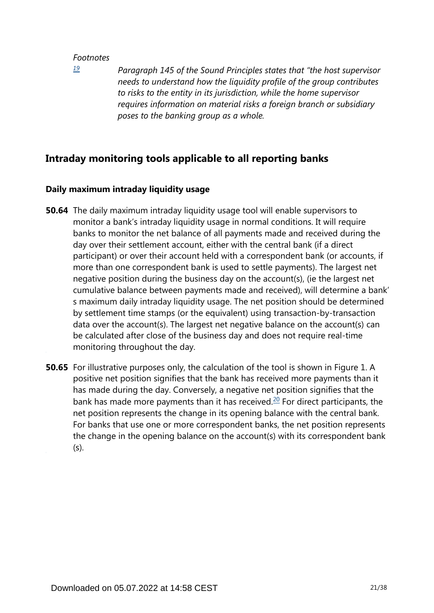<span id="page-20-0"></span>*[19](#page-19-0)*

*Paragraph 145 of the Sound Principles states that "the host supervisor needs to understand how the liquidity profile of the group contributes to risks to the entity in its jurisdiction, while the home supervisor requires information on material risks a foreign branch or subsidiary poses to the banking group as a whole.*

## **Intraday monitoring tools applicable to all reporting banks**

## **Daily maximum intraday liquidity usage**

- **50.64** The daily maximum intraday liquidity usage tool will enable supervisors to monitor a bank's intraday liquidity usage in normal conditions. It will require banks to monitor the net balance of all payments made and received during the day over their settlement account, either with the central bank (if a direct participant) or over their account held with a correspondent bank (or accounts, if more than one correspondent bank is used to settle payments). The largest net negative position during the business day on the account(s), (ie the largest net cumulative balance between payments made and received), will determine a bank' s maximum daily intraday liquidity usage. The net position should be determined by settlement time stamps (or the equivalent) using transaction-by-transaction data over the account(s). The largest net negative balance on the account(s) can be calculated after close of the business day and does not require real-time monitoring throughout the day.
- <span id="page-20-1"></span>**50.65** For illustrative purposes only, the calculation of the tool is shown in Figure 1. A positive net position signifies that the bank has received more payments than it has made during the day. Conversely, a negative net position signifies that the bank has made more payments than it has received.<sup>[20](#page-21-0)</sup> For direct participants, the net position represents the change in its opening balance with the central bank. For banks that use one or more correspondent banks, the net position represents the change in the opening balance on the account(s) with its correspondent bank (s).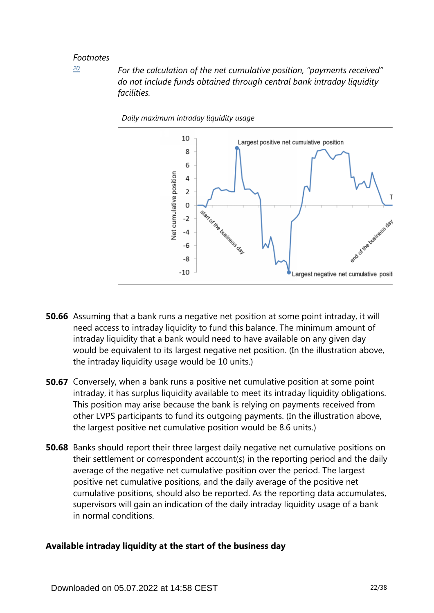<span id="page-21-0"></span>*[20](#page-20-1)*

*For the calculation of the net cumulative position, "payments received" do not include funds obtained through central bank intraday liquidity facilities.*



- **50.66** Assuming that a bank runs a negative net position at some point intraday, it will need access to intraday liquidity to fund this balance. The minimum amount of intraday liquidity that a bank would need to have available on any given day would be equivalent to its largest negative net position. (In the illustration above, the intraday liquidity usage would be 10 units.)
- **50.67** Conversely, when a bank runs a positive net cumulative position at some point intraday, it has surplus liquidity available to meet its intraday liquidity obligations. This position may arise because the bank is relying on payments received from other LVPS participants to fund its outgoing payments. (In the illustration above, the largest positive net cumulative position would be 8.6 units.)
- **50.68** Banks should report their three largest daily negative net cumulative positions on their settlement or correspondent account(s) in the reporting period and the daily average of the negative net cumulative position over the period. The largest positive net cumulative positions, and the daily average of the positive net cumulative positions, should also be reported. As the reporting data accumulates, supervisors will gain an indication of the daily intraday liquidity usage of a bank in normal conditions.

## **Available intraday liquidity at the start of the business day**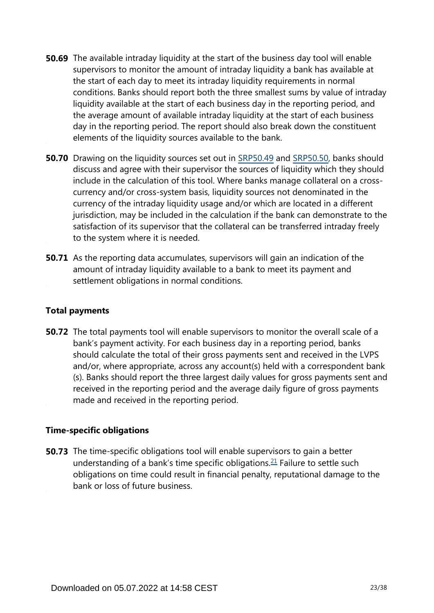- **50.69** The available intraday liquidity at the start of the business day tool will enable supervisors to monitor the amount of intraday liquidity a bank has available at the start of each day to meet its intraday liquidity requirements in normal conditions. Banks should report both the three smallest sums by value of intraday liquidity available at the start of each business day in the reporting period, and the average amount of available intraday liquidity at the start of each business day in the reporting period. The report should also break down the constituent elements of the liquidity sources available to the bank.
- **50.70** Drawing on the liquidity sources set out in [SRP50.49](https://www.bis.org/basel_framework/chapter/SRP/50.htm?tldate=20281012&inforce=20191215&published=20191215#paragraph_SRP_50_20191215_50_49) and [SRP50.50,](https://www.bis.org/basel_framework/chapter/SRP/50.htm?tldate=20281012&inforce=20191215&published=20191215#paragraph_SRP_50_20191215_50_50) banks should discuss and agree with their supervisor the sources of liquidity which they should include in the calculation of this tool. Where banks manage collateral on a crosscurrency and/or cross-system basis, liquidity sources not denominated in the currency of the intraday liquidity usage and/or which are located in a different jurisdiction, may be included in the calculation if the bank can demonstrate to the satisfaction of its supervisor that the collateral can be transferred intraday freely to the system where it is needed.
- **50.71** As the reporting data accumulates, supervisors will gain an indication of the amount of intraday liquidity available to a bank to meet its payment and settlement obligations in normal conditions.

## **Total payments**

**50.72** The total payments tool will enable supervisors to monitor the overall scale of a bank's payment activity. For each business day in a reporting period, banks should calculate the total of their gross payments sent and received in the LVPS and/or, where appropriate, across any account(s) held with a correspondent bank (s). Banks should report the three largest daily values for gross payments sent and received in the reporting period and the average daily figure of gross payments made and received in the reporting period.

## **Time-specific obligations**

<span id="page-22-0"></span>**50.73** The time-specific obligations tool will enable supervisors to gain a better understanding of a bank's time specific obligations. $21$  Failure to settle such obligations on time could result in financial penalty, reputational damage to the bank or loss of future business.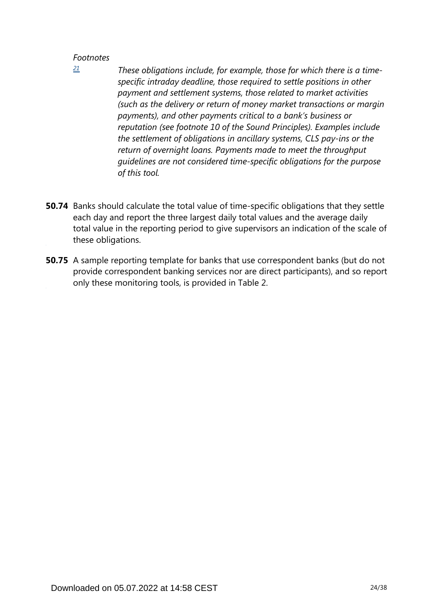<span id="page-23-0"></span>*[21](#page-22-0)*

- *These obligations include, for example, those for which there is a timespecific intraday deadline, those required to settle positions in other payment and settlement systems, those related to market activities (such as the delivery or return of money market transactions or margin payments), and other payments critical to a bank's business or reputation (see footnote 10 of the Sound Principles). Examples include the settlement of obligations in ancillary systems, CLS pay-ins or the return of overnight loans. Payments made to meet the throughput guidelines are not considered time-specific obligations for the purpose of this tool.*
- **50.74** Banks should calculate the total value of time-specific obligations that they settle each day and report the three largest daily total values and the average daily total value in the reporting period to give supervisors an indication of the scale of these obligations.
- **50.75** A sample reporting template for banks that use correspondent banks (but do not provide correspondent banking services nor are direct participants), and so report only these monitoring tools, is provided in Table 2.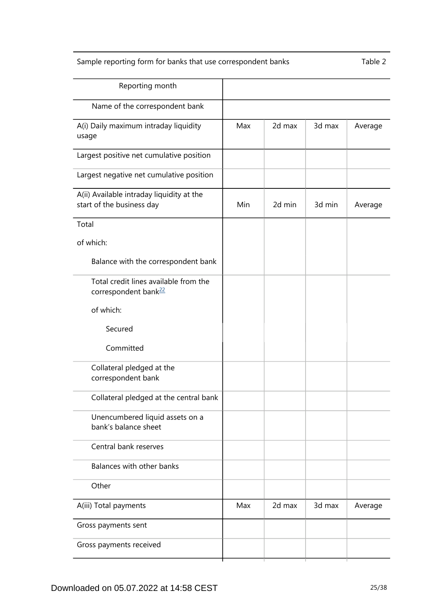## Sample reporting form for banks that use correspondent banks Table 2

<span id="page-24-0"></span>

| Reporting month                                                           |     |        |        |         |
|---------------------------------------------------------------------------|-----|--------|--------|---------|
| Name of the correspondent bank                                            |     |        |        |         |
| A(i) Daily maximum intraday liquidity<br>usage                            | Max | 2d max | 3d max | Average |
| Largest positive net cumulative position                                  |     |        |        |         |
| Largest negative net cumulative position                                  |     |        |        |         |
| A(ii) Available intraday liquidity at the<br>start of the business day    | Min | 2d min | 3d min | Average |
| Total                                                                     |     |        |        |         |
| of which:                                                                 |     |        |        |         |
| Balance with the correspondent bank                                       |     |        |        |         |
| Total credit lines available from the<br>correspondent bank <sup>22</sup> |     |        |        |         |
| of which:                                                                 |     |        |        |         |
| Secured                                                                   |     |        |        |         |
| Committed                                                                 |     |        |        |         |
| Collateral pledged at the<br>correspondent bank                           |     |        |        |         |
| Collateral pledged at the central bank                                    |     |        |        |         |
| Unencumbered liquid assets on a<br>bank's balance sheet                   |     |        |        |         |
| Central bank reserves                                                     |     |        |        |         |
| Balances with other banks                                                 |     |        |        |         |
| Other                                                                     |     |        |        |         |
| A(iii) Total payments                                                     | Max | 2d max | 3d max | Average |
| Gross payments sent                                                       |     |        |        |         |
| Gross payments received                                                   |     |        |        |         |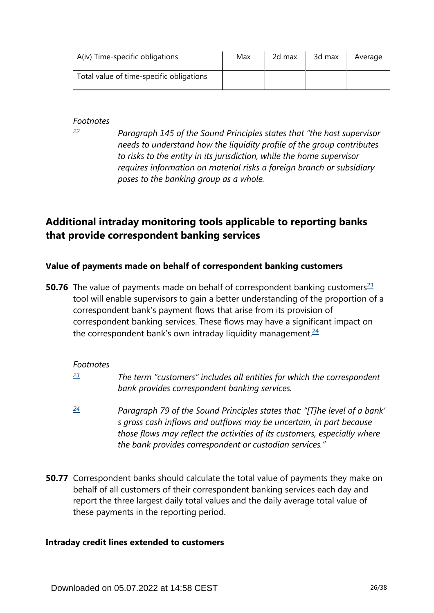| A(iv) Time-specific obligations          | Max | 2d max | 3d max | Average |
|------------------------------------------|-----|--------|--------|---------|
| Total value of time-specific obligations |     |        |        |         |

<span id="page-25-0"></span>*[22](#page-24-0)*

*Paragraph 145 of the Sound Principles states that "the host supervisor needs to understand how the liquidity profile of the group contributes to risks to the entity in its jurisdiction, while the home supervisor requires information on material risks a foreign branch or subsidiary poses to the banking group as a whole.*

## **Additional intraday monitoring tools applicable to reporting banks that provide correspondent banking services**

## **Value of payments made on behalf of correspondent banking customers**

<span id="page-25-4"></span><span id="page-25-3"></span>**50.76** The value of payments made on behalf of correspondent banking customers<sup>[23](#page-25-1)</sup> tool will enable supervisors to gain a better understanding of the proportion of a correspondent bank's payment flows that arise from its provision of correspondent banking services. These flows may have a significant impact on the correspondent bank's own intraday liquidity management. $24$ 

## *Footnotes*

- <span id="page-25-1"></span>*The term "customers" includes all entities for which the correspondent bank provides correspondent banking services. [23](#page-25-3)*
- <span id="page-25-2"></span>*Paragraph 79 of the Sound Principles states that: "[T]he level of a bank' s gross cash inflows and outflows may be uncertain, in part because those flows may reflect the activities of its customers, especially where the bank provides correspondent or custodian services." [24](#page-25-4)*
- **50.77** Correspondent banks should calculate the total value of payments they make on behalf of all customers of their correspondent banking services each day and report the three largest daily total values and the daily average total value of these payments in the reporting period.

## **Intraday credit lines extended to customers**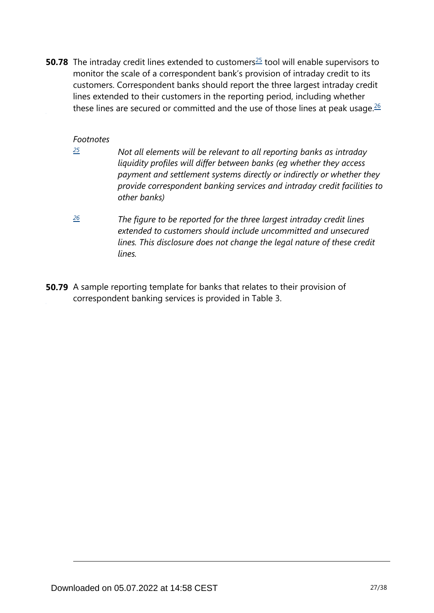<span id="page-26-3"></span><span id="page-26-2"></span>**50.78** The intraday credit lines extended to customers<sup>[25](#page-26-0)</sup> tool will enable supervisors to monitor the scale of a correspondent bank's provision of intraday credit to its customers. Correspondent banks should report the three largest intraday credit lines extended to their customers in the reporting period, including whether these lines are secured or committed and the use of those lines at peak usage. $26$ 

#### *Footnotes*

<span id="page-26-0"></span>*[25](#page-26-2)*

- *Not all elements will be relevant to all reporting banks as intraday liquidity profiles will differ between banks (eg whether they access payment and settlement systems directly or indirectly or whether they provide correspondent banking services and intraday credit facilities to other banks)*
- <span id="page-26-1"></span>*The figure to be reported for the three largest intraday credit lines extended to customers should include uncommitted and unsecured lines. This disclosure does not change the legal nature of these credit lines. [26](#page-26-3)*
- **50.79** A sample reporting template for banks that relates to their provision of correspondent banking services is provided in Table 3.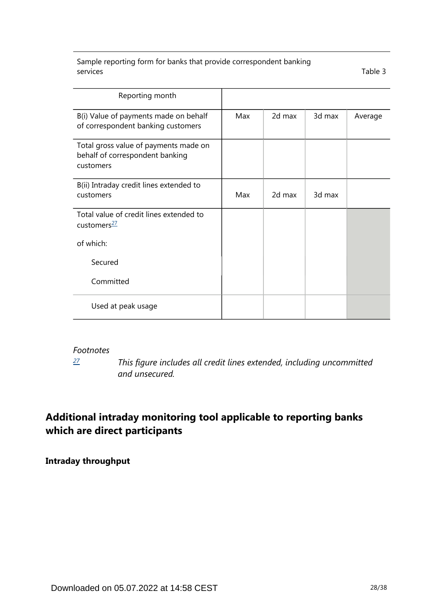Sample reporting form for banks that provide correspondent banking services Table 3

| Reporting month                                                                       |     |        |        |         |
|---------------------------------------------------------------------------------------|-----|--------|--------|---------|
| B(i) Value of payments made on behalf<br>of correspondent banking customers           | Max | 2d max | 3d max | Average |
| Total gross value of payments made on<br>behalf of correspondent banking<br>customers |     |        |        |         |
| B(ii) Intraday credit lines extended to<br>customers                                  | Max | 2d max | 3d max |         |
| Total value of credit lines extended to<br>customers <sup>27</sup>                    |     |        |        |         |
| of which:                                                                             |     |        |        |         |
| Secured                                                                               |     |        |        |         |
| Committed                                                                             |     |        |        |         |
| Used at peak usage                                                                    |     |        |        |         |

#### <span id="page-27-1"></span>*Footnotes*

*[27](#page-27-1)*

*This figure includes all credit lines extended, including uncommitted and unsecured.*

## <span id="page-27-0"></span>**Additional intraday monitoring tool applicable to reporting banks which are direct participants**

**Intraday throughput**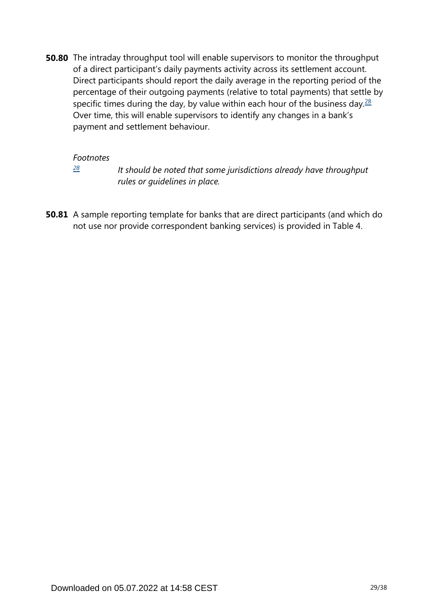<span id="page-28-1"></span>**50.80** The intraday throughput tool will enable supervisors to monitor the throughput of a direct participant's daily payments activity across its settlement account. Direct participants should report the daily average in the reporting period of the percentage of their outgoing payments (relative to total payments) that settle by specific times during the day, by value within each hour of the business day. $\frac{28}{2}$  $\frac{28}{2}$  $\frac{28}{2}$ Over time, this will enable supervisors to identify any changes in a bank's payment and settlement behaviour.

#### *Footnotes*

*[28](#page-28-1)*

*It should be noted that some jurisdictions already have throughput rules or guidelines in place.*

<span id="page-28-0"></span>**50.81** A sample reporting template for banks that are direct participants (and which do not use nor provide correspondent banking services) is provided in Table 4.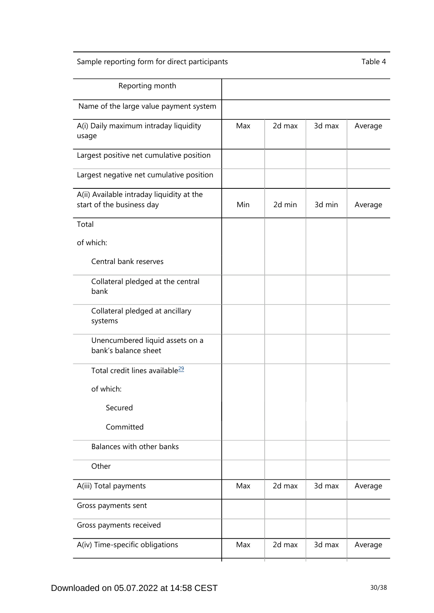## Sample reporting form for direct participants Table 4

<span id="page-29-0"></span>

| Reporting month                                                        |     |        |        |         |
|------------------------------------------------------------------------|-----|--------|--------|---------|
| Name of the large value payment system                                 |     |        |        |         |
| A(i) Daily maximum intraday liquidity<br>usage                         | Max | 2d max | 3d max | Average |
| Largest positive net cumulative position                               |     |        |        |         |
| Largest negative net cumulative position                               |     |        |        |         |
| A(ii) Available intraday liquidity at the<br>start of the business day | Min | 2d min | 3d min | Average |
| Total                                                                  |     |        |        |         |
| of which:                                                              |     |        |        |         |
| Central bank reserves                                                  |     |        |        |         |
| Collateral pledged at the central<br>bank                              |     |        |        |         |
| Collateral pledged at ancillary<br>systems                             |     |        |        |         |
| Unencumbered liquid assets on a<br>bank's balance sheet                |     |        |        |         |
| Total credit lines available <sup>29</sup>                             |     |        |        |         |
| of which:                                                              |     |        |        |         |
| Secured                                                                |     |        |        |         |
| Committed                                                              |     |        |        |         |
| Balances with other banks                                              |     |        |        |         |
| Other                                                                  |     |        |        |         |
| A(iii) Total payments                                                  | Max | 2d max | 3d max | Average |
| Gross payments sent                                                    |     |        |        |         |
| Gross payments received                                                |     |        |        |         |
| A(iv) Time-specific obligations                                        | Max | 2d max | 3d max | Average |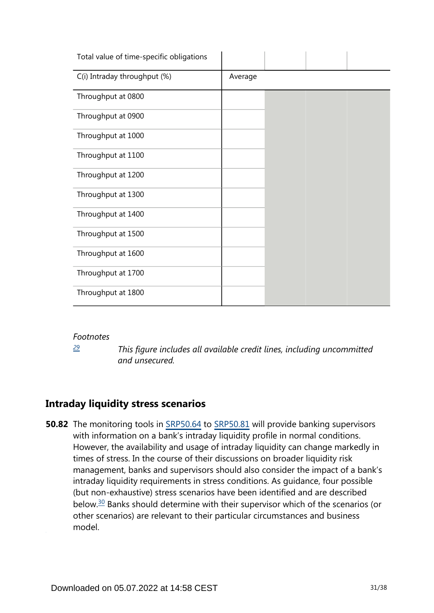| Total value of time-specific obligations |         |  |  |
|------------------------------------------|---------|--|--|
| C(i) Intraday throughput (%)             | Average |  |  |
| Throughput at 0800                       |         |  |  |
| Throughput at 0900                       |         |  |  |
| Throughput at 1000                       |         |  |  |
| Throughput at 1100                       |         |  |  |
| Throughput at 1200                       |         |  |  |
| Throughput at 1300                       |         |  |  |
| Throughput at 1400                       |         |  |  |
| Throughput at 1500                       |         |  |  |
| Throughput at 1600                       |         |  |  |
| Throughput at 1700                       |         |  |  |
| Throughput at 1800                       |         |  |  |

*[29](#page-29-0)*

*This figure includes all available credit lines, including uncommitted and unsecured.*

## <span id="page-30-0"></span>**Intraday liquidity stress scenarios**

<span id="page-30-1"></span>**50.82** The monitoring tools in [SRP50.64](https://www.bis.org/basel_framework/chapter/SRP/50.htm?tldate=20281012&inforce=20191215&published=20191215#paragraph_SRP_50_20191215_50_64) to [SRP50.81](https://www.bis.org/basel_framework/chapter/SRP/50.htm?tldate=20281012&inforce=20191215&published=20191215#paragraph_SRP_50_20191215_50_81) will provide banking supervisors with information on a bank's intraday liquidity profile in normal conditions. However, the availability and usage of intraday liquidity can change markedly in times of stress. In the course of their discussions on broader liquidity risk management, banks and supervisors should also consider the impact of a bank's intraday liquidity requirements in stress conditions. As guidance, four possible (but non-exhaustive) stress scenarios have been identified and are described below.[30](#page-32-0) Banks should determine with their supervisor which of the scenarios (or other scenarios) are relevant to their particular circumstances and business model.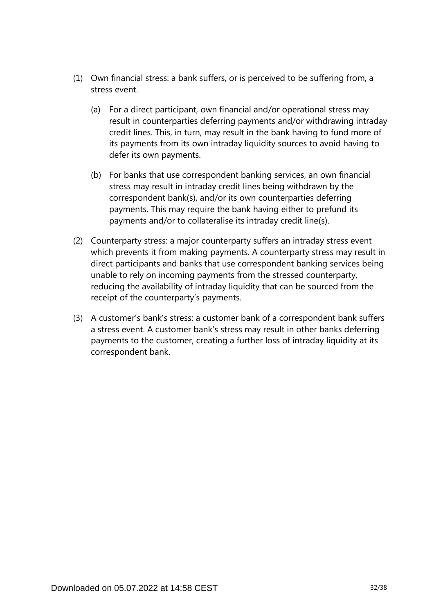- (1) Own financial stress: a bank suffers, or is perceived to be suffering from, a stress event.
	- (a) For a direct participant, own financial and/or operational stress may result in counterparties deferring payments and/or withdrawing intraday credit lines. This, in turn, may result in the bank having to fund more of its payments from its own intraday liquidity sources to avoid having to defer its own payments.
	- (b) For banks that use correspondent banking services, an own financial stress may result in intraday credit lines being withdrawn by the correspondent bank(s), and/or its own counterparties deferring payments. This may require the bank having either to prefund its payments and/or to collateralise its intraday credit line(s).
- (2) Counterparty stress: a major counterparty suffers an intraday stress event which prevents it from making payments. A counterparty stress may result in direct participants and banks that use correspondent banking services being unable to rely on incoming payments from the stressed counterparty, reducing the availability of intraday liquidity that can be sourced from the receipt of the counterparty's payments.
- (3) A customer's bank's stress: a customer bank of a correspondent bank suffers a stress event. A customer bank's stress may result in other banks deferring payments to the customer, creating a further loss of intraday liquidity at its correspondent bank.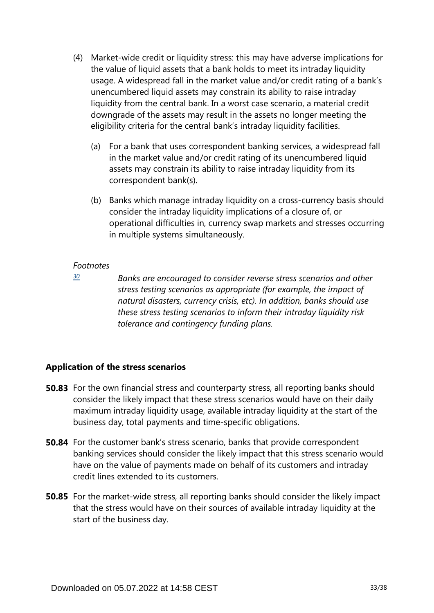- (4) Market-wide credit or liquidity stress: this may have adverse implications for the value of liquid assets that a bank holds to meet its intraday liquidity usage. A widespread fall in the market value and/or credit rating of a bank's unencumbered liquid assets may constrain its ability to raise intraday liquidity from the central bank. In a worst case scenario, a material credit downgrade of the assets may result in the assets no longer meeting the eligibility criteria for the central bank's intraday liquidity facilities.
	- (a) For a bank that uses correspondent banking services, a widespread fall in the market value and/or credit rating of its unencumbered liquid assets may constrain its ability to raise intraday liquidity from its correspondent bank(s).
	- (b) Banks which manage intraday liquidity on a cross-currency basis should consider the intraday liquidity implications of a closure of, or operational difficulties in, currency swap markets and stresses occurring in multiple systems simultaneously.

<span id="page-32-0"></span>*[30](#page-30-1)*

*Banks are encouraged to consider reverse stress scenarios and other stress testing scenarios as appropriate (for example, the impact of natural disasters, currency crisis, etc). In addition, banks should use these stress testing scenarios to inform their intraday liquidity risk tolerance and contingency funding plans.*

## **Application of the stress scenarios**

- **50.83** For the own financial stress and counterparty stress, all reporting banks should consider the likely impact that these stress scenarios would have on their daily maximum intraday liquidity usage, available intraday liquidity at the start of the business day, total payments and time-specific obligations.
- **50.84** For the customer bank's stress scenario, banks that provide correspondent banking services should consider the likely impact that this stress scenario would have on the value of payments made on behalf of its customers and intraday credit lines extended to its customers.
- **50.85** For the market-wide stress, all reporting banks should consider the likely impact that the stress would have on their sources of available intraday liquidity at the start of the business day.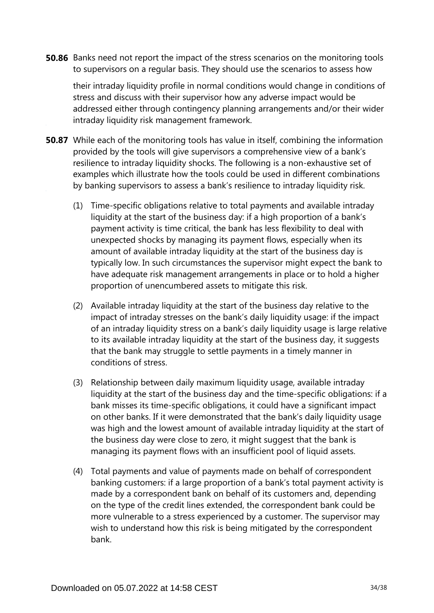**50.86** Banks need not report the impact of the stress scenarios on the monitoring tools to supervisors on a regular basis. They should use the scenarios to assess how

their intraday liquidity profile in normal conditions would change in conditions of stress and discuss with their supervisor how any adverse impact would be addressed either through contingency planning arrangements and/or their wider intraday liquidity risk management framework.

- **50.87** While each of the monitoring tools has value in itself, combining the information provided by the tools will give supervisors a comprehensive view of a bank's resilience to intraday liquidity shocks. The following is a non-exhaustive set of examples which illustrate how the tools could be used in different combinations by banking supervisors to assess a bank's resilience to intraday liquidity risk.
	- (1) Time-specific obligations relative to total payments and available intraday liquidity at the start of the business day: if a high proportion of a bank's payment activity is time critical, the bank has less flexibility to deal with unexpected shocks by managing its payment flows, especially when its amount of available intraday liquidity at the start of the business day is typically low. In such circumstances the supervisor might expect the bank to have adequate risk management arrangements in place or to hold a higher proportion of unencumbered assets to mitigate this risk.
	- (2) Available intraday liquidity at the start of the business day relative to the impact of intraday stresses on the bank's daily liquidity usage: if the impact of an intraday liquidity stress on a bank's daily liquidity usage is large relative to its available intraday liquidity at the start of the business day, it suggests that the bank may struggle to settle payments in a timely manner in conditions of stress.
	- (3) Relationship between daily maximum liquidity usage, available intraday liquidity at the start of the business day and the time-specific obligations: if a bank misses its time-specific obligations, it could have a significant impact on other banks. If it were demonstrated that the bank's daily liquidity usage was high and the lowest amount of available intraday liquidity at the start of the business day were close to zero, it might suggest that the bank is managing its payment flows with an insufficient pool of liquid assets.
	- (4) Total payments and value of payments made on behalf of correspondent banking customers: if a large proportion of a bank's total payment activity is made by a correspondent bank on behalf of its customers and, depending on the type of the credit lines extended, the correspondent bank could be more vulnerable to a stress experienced by a customer. The supervisor may wish to understand how this risk is being mitigated by the correspondent bank.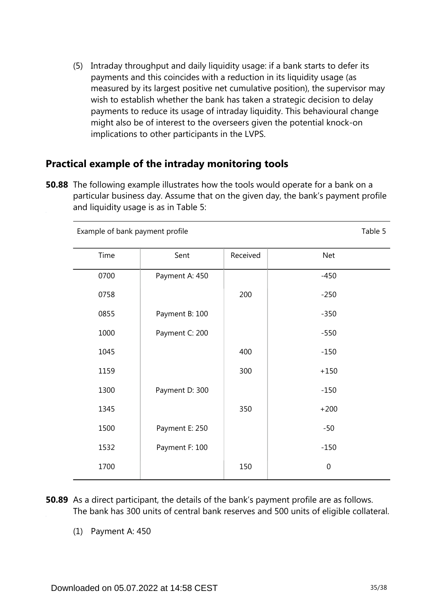(5) Intraday throughput and daily liquidity usage: if a bank starts to defer its payments and this coincides with a reduction in its liquidity usage (as measured by its largest positive net cumulative position), the supervisor may wish to establish whether the bank has taken a strategic decision to delay payments to reduce its usage of intraday liquidity. This behavioural change might also be of interest to the overseers given the potential knock-on implications to other participants in the LVPS.

## **Practical example of the intraday monitoring tools**

**50.88** The following example illustrates how the tools would operate for a bank on a particular business day. Assume that on the given day, the bank's payment profile and liquidity usage is as in Table 5:

| Example of bank payment profile | Table 5        |          |                  |
|---------------------------------|----------------|----------|------------------|
| Time                            | Sent           | Received | <b>Net</b>       |
| 0700                            | Payment A: 450 |          | $-450$           |
| 0758                            |                | 200      | $-250$           |
| 0855                            | Payment B: 100 |          | $-350$           |
| 1000                            | Payment C: 200 |          | $-550$           |
| 1045                            |                | 400      | $-150$           |
| 1159                            |                | 300      | $+150$           |
| 1300                            | Payment D: 300 |          | $-150$           |
| 1345                            |                | 350      | $+200$           |
| 1500                            | Payment E: 250 |          | $-50$            |
| 1532                            | Payment F: 100 |          | $-150$           |
| 1700                            |                | 150      | $\boldsymbol{0}$ |

- **50.89** As a direct participant, the details of the bank's payment profile are as follows. The bank has 300 units of central bank reserves and 500 units of eligible collateral.
	- (1) Payment A: 450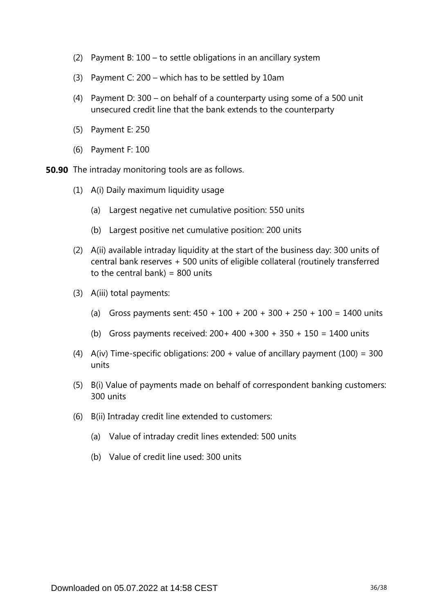- (2) Payment B: 100 to settle obligations in an ancillary system
- (3) Payment C: 200 which has to be settled by 10am
- (4) Payment D: 300 on behalf of a counterparty using some of a 500 unit unsecured credit line that the bank extends to the counterparty
- (5) Payment E: 250
- (6) Payment F: 100
- **50.90** The intraday monitoring tools are as follows.
	- (1) A(i) Daily maximum liquidity usage
		- (a) Largest negative net cumulative position: 550 units
		- (b) Largest positive net cumulative position: 200 units
	- (2) A(ii) available intraday liquidity at the start of the business day: 300 units of central bank reserves + 500 units of eligible collateral (routinely transferred to the central bank) =  $800$  units
	- (3) A(iii) total payments:
		- (a) Gross payments sent:  $450 + 100 + 200 + 300 + 250 + 100 = 1400$  units
		- (b) Gross payments received:  $200+400+300+350+150 = 1400$  units
	- (4) A(iv) Time-specific obligations:  $200 +$  value of ancillary payment (100) = 300 units
	- (5) B(i) Value of payments made on behalf of correspondent banking customers: 300 units
	- (6) B(ii) Intraday credit line extended to customers:
		- (a) Value of intraday credit lines extended: 500 units
		- (b) Value of credit line used: 300 units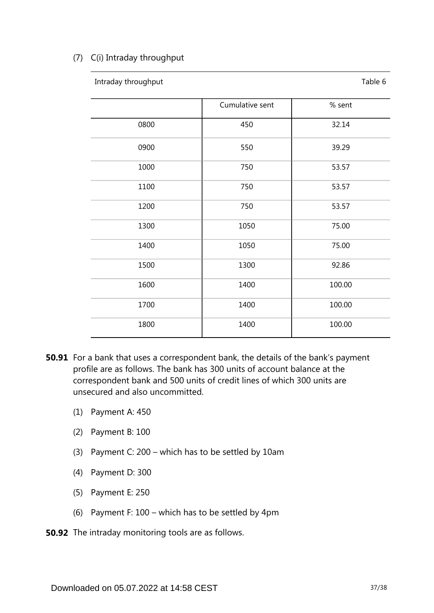### (7) C(i) Intraday throughput

| Intraday throughput |                 | Table 6 |
|---------------------|-----------------|---------|
|                     | Cumulative sent | % sent  |
| 0800                | 450             | 32.14   |
| 0900                | 550             | 39.29   |
| 1000                | 750             | 53.57   |
| 1100                | 750             | 53.57   |
| 1200                | 750             | 53.57   |
| 1300                | 1050            | 75.00   |
| 1400                | 1050            | 75.00   |
| 1500                | 1300            | 92.86   |
| 1600                | 1400            | 100.00  |
| 1700                | 1400            | 100.00  |
| 1800                | 1400            | 100.00  |

- **50.91** For a bank that uses a correspondent bank, the details of the bank's payment profile are as follows. The bank has 300 units of account balance at the correspondent bank and 500 units of credit lines of which 300 units are unsecured and also uncommitted.
	- (1) Payment A: 450
	- (2) Payment B: 100
	- (3) Payment C: 200 which has to be settled by 10am
	- (4) Payment D: 300
	- (5) Payment E: 250
	- (6) Payment F: 100 which has to be settled by 4pm
- **50.92** The intraday monitoring tools are as follows.